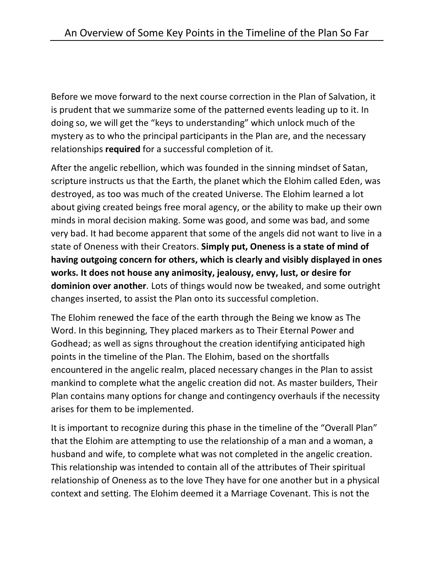Before we move forward to the next course correction in the Plan of Salvation, it is prudent that we summarize some of the patterned events leading up to it. In doing so, we will get the "keys to understanding" which unlock much of the mystery as to who the principal participants in the Plan are, and the necessary relationships **required** for a successful completion of it.

After the angelic rebellion, which was founded in the sinning mindset of Satan, scripture instructs us that the Earth, the planet which the Elohim called Eden, was destroyed, as too was much of the created Universe. The Elohim learned a lot about giving created beings free moral agency, or the ability to make up their own minds in moral decision making. Some was good, and some was bad, and some very bad. It had become apparent that some of the angels did not want to live in a state of Oneness with their Creators. **Simply put, Oneness is a state of mind of having outgoing concern for others, which is clearly and visibly displayed in ones works. It does not house any animosity, jealousy, envy, lust, or desire for dominion over another**. Lots of things would now be tweaked, and some outright changes inserted, to assist the Plan onto its successful completion.

The Elohim renewed the face of the earth through the Being we know as The Word. In this beginning, They placed markers as to Their Eternal Power and Godhead; as well as signs throughout the creation identifying anticipated high points in the timeline of the Plan. The Elohim, based on the shortfalls encountered in the angelic realm, placed necessary changes in the Plan to assist mankind to complete what the angelic creation did not. As master builders, Their Plan contains many options for change and contingency overhauls if the necessity arises for them to be implemented.

It is important to recognize during this phase in the timeline of the "Overall Plan" that the Elohim are attempting to use the relationship of a man and a woman, a husband and wife, to complete what was not completed in the angelic creation. This relationship was intended to contain all of the attributes of Their spiritual relationship of Oneness as to the love They have for one another but in a physical context and setting. The Elohim deemed it a Marriage Covenant. This is not the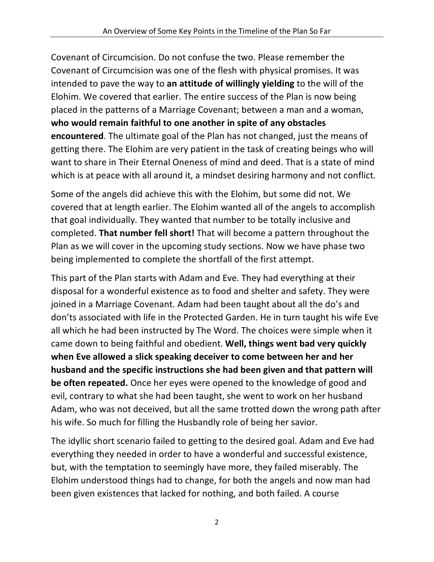Covenant of Circumcision. Do not confuse the two. Please remember the Covenant of Circumcision was one of the flesh with physical promises. It was intended to pave the way to **an attitude of willingly yielding** to the will of the Elohim. We covered that earlier. The entire success of the Plan is now being placed in the patterns of a Marriage Covenant; between a man and a woman, **who would remain faithful to one another in spite of any obstacles encountered**. The ultimate goal of the Plan has not changed, just the means of getting there. The Elohim are very patient in the task of creating beings who will want to share in Their Eternal Oneness of mind and deed. That is a state of mind which is at peace with all around it, a mindset desiring harmony and not conflict.

Some of the angels did achieve this with the Elohim, but some did not. We covered that at length earlier. The Elohim wanted all of the angels to accomplish that goal individually. They wanted that number to be totally inclusive and completed. **That number fell short!** That will become a pattern throughout the Plan as we will cover in the upcoming study sections. Now we have phase two being implemented to complete the shortfall of the first attempt.

This part of the Plan starts with Adam and Eve. They had everything at their disposal for a wonderful existence as to food and shelter and safety. They were joined in a Marriage Covenant. Adam had been taught about all the do's and don'ts associated with life in the Protected Garden. He in turn taught his wife Eve all which he had been instructed by The Word. The choices were simple when it came down to being faithful and obedient. **Well, things went bad very quickly when Eve allowed a slick speaking deceiver to come between her and her husband and the specific instructions she had been given and that pattern will be often repeated.** Once her eyes were opened to the knowledge of good and evil, contrary to what she had been taught, she went to work on her husband Adam, who was not deceived, but all the same trotted down the wrong path after his wife. So much for filling the Husbandly role of being her savior.

The idyllic short scenario failed to getting to the desired goal. Adam and Eve had everything they needed in order to have a wonderful and successful existence, but, with the temptation to seemingly have more, they failed miserably. The Elohim understood things had to change, for both the angels and now man had been given existences that lacked for nothing, and both failed. A course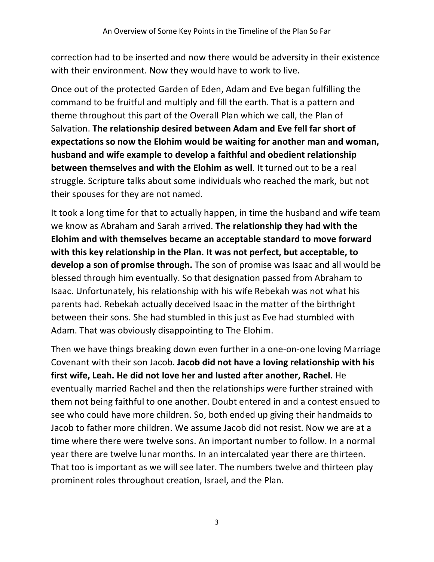correction had to be inserted and now there would be adversity in their existence with their environment. Now they would have to work to live.

Once out of the protected Garden of Eden, Adam and Eve began fulfilling the command to be fruitful and multiply and fill the earth. That is a pattern and theme throughout this part of the Overall Plan which we call, the Plan of Salvation. **The relationship desired between Adam and Eve fell far short of expectations so now the Elohim would be waiting for another man and woman, husband and wife example to develop a faithful and obedient relationship between themselves and with the Elohim as well**. It turned out to be a real struggle. Scripture talks about some individuals who reached the mark, but not their spouses for they are not named.

It took a long time for that to actually happen, in time the husband and wife team we know as Abraham and Sarah arrived. **The relationship they had with the Elohim and with themselves became an acceptable standard to move forward with this key relationship in the Plan. It was not perfect, but acceptable, to develop a son of promise through.** The son of promise was Isaac and all would be blessed through him eventually. So that designation passed from Abraham to Isaac. Unfortunately, his relationship with his wife Rebekah was not what his parents had. Rebekah actually deceived Isaac in the matter of the birthright between their sons. She had stumbled in this just as Eve had stumbled with Adam. That was obviously disappointing to The Elohim.

Then we have things breaking down even further in a one-on-one loving Marriage Covenant with their son Jacob. **Jacob did not have a loving relationship with his first wife, Leah. He did not love her and lusted after another, Rachel**. He eventually married Rachel and then the relationships were further strained with them not being faithful to one another. Doubt entered in and a contest ensued to see who could have more children. So, both ended up giving their handmaids to Jacob to father more children. We assume Jacob did not resist. Now we are at a time where there were twelve sons. An important number to follow. In a normal year there are twelve lunar months. In an intercalated year there are thirteen. That too is important as we will see later. The numbers twelve and thirteen play prominent roles throughout creation, Israel, and the Plan.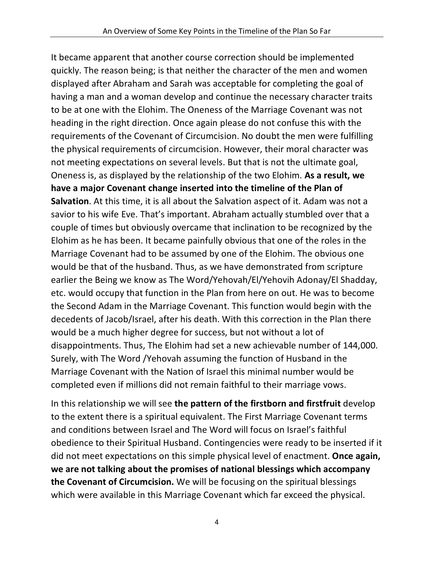It became apparent that another course correction should be implemented quickly. The reason being; is that neither the character of the men and women displayed after Abraham and Sarah was acceptable for completing the goal of having a man and a woman develop and continue the necessary character traits to be at one with the Elohim. The Oneness of the Marriage Covenant was not heading in the right direction. Once again please do not confuse this with the requirements of the Covenant of Circumcision. No doubt the men were fulfilling the physical requirements of circumcision. However, their moral character was not meeting expectations on several levels. But that is not the ultimate goal, Oneness is, as displayed by the relationship of the two Elohim. **As a result, we have a major Covenant change inserted into the timeline of the Plan of Salvation**. At this time, it is all about the Salvation aspect of it. Adam was not a savior to his wife Eve. That's important. Abraham actually stumbled over that a couple of times but obviously overcame that inclination to be recognized by the Elohim as he has been. It became painfully obvious that one of the roles in the Marriage Covenant had to be assumed by one of the Elohim. The obvious one would be that of the husband. Thus, as we have demonstrated from scripture earlier the Being we know as The Word/Yehovah/El/Yehovih Adonay/El Shadday, etc. would occupy that function in the Plan from here on out. He was to become the Second Adam in the Marriage Covenant. This function would begin with the decedents of Jacob/Israel, after his death. With this correction in the Plan there would be a much higher degree for success, but not without a lot of disappointments. Thus, The Elohim had set a new achievable number of 144,000. Surely, with The Word /Yehovah assuming the function of Husband in the Marriage Covenant with the Nation of Israel this minimal number would be completed even if millions did not remain faithful to their marriage vows.

In this relationship we will see **the pattern of the firstborn and firstfruit** develop to the extent there is a spiritual equivalent. The First Marriage Covenant terms and conditions between Israel and The Word will focus on Israel's faithful obedience to their Spiritual Husband. Contingencies were ready to be inserted if it did not meet expectations on this simple physical level of enactment. **Once again, we are not talking about the promises of national blessings which accompany the Covenant of Circumcision.** We will be focusing on the spiritual blessings which were available in this Marriage Covenant which far exceed the physical.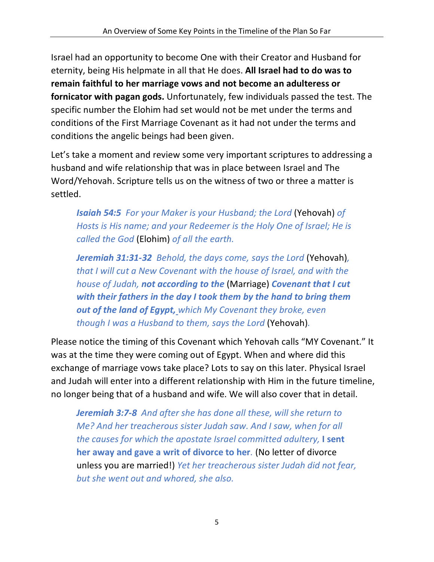Israel had an opportunity to become One with their Creator and Husband for eternity, being His helpmate in all that He does. **All Israel had to do was to remain faithful to her marriage vows and not become an adulteress or fornicator with pagan gods.** Unfortunately, few individuals passed the test. The specific number the Elohim had set would not be met under the terms and conditions of the First Marriage Covenant as it had not under the terms and conditions the angelic beings had been given.

Let's take a moment and review some very important scriptures to addressing a husband and wife relationship that was in place between Israel and The Word/Yehovah. Scripture tells us on the witness of two or three a matter is settled.

*Isaiah 54:5 For your Maker is your Husband; the Lord* (Yehovah) *of Hosts is His name; and your Redeemer is the Holy One of Israel; He is called the God* (Elohim) *of all the earth.*

*Jeremiah 31:31-32 Behold, the days come, says the Lord* (Yehovah)*, that I will cut a New Covenant with the house of Israel, and with the house of Judah, not according to the* (Marriage) *Covenant that I cut with their fathers in the day I took them by the hand to bring them out of the land of Egypt, which My Covenant they broke, even though I was a Husband to them, says the Lord* (Yehovah)*.*

Please notice the timing of this Covenant which Yehovah calls "MY Covenant." It was at the time they were coming out of Egypt. When and where did this exchange of marriage vows take place? Lots to say on this later. Physical Israel and Judah will enter into a different relationship with Him in the future timeline, no longer being that of a husband and wife. We will also cover that in detail.

*Jeremiah 3:7-8 And after she has done all these, will she return to Me? And her treacherous sister Judah saw. And I saw, when for all the causes for which the apostate Israel committed adultery,* **I sent her away and gave a writ of divorce to her***.* (No letter of divorce unless you are married!) *Yet her treacherous sister Judah did not fear, but she went out and whored, she also.*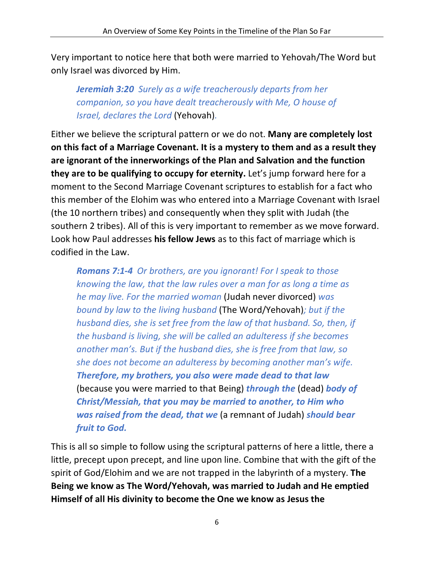Very important to notice here that both were married to Yehovah/The Word but only Israel was divorced by Him.

*Jeremiah 3:20 Surely as a wife treacherously departs from her companion, so you have dealt treacherously with Me, O house of Israel, declares the Lord* (Yehovah)*.*

Either we believe the scriptural pattern or we do not. **Many are completely lost on this fact of a Marriage Covenant. It is a mystery to them and as a result they are ignorant of the innerworkings of the Plan and Salvation and the function they are to be qualifying to occupy for eternity.** Let's jump forward here for a moment to the Second Marriage Covenant scriptures to establish for a fact who this member of the Elohim was who entered into a Marriage Covenant with Israel (the 10 northern tribes) and consequently when they split with Judah (the southern 2 tribes). All of this is very important to remember as we move forward. Look how Paul addresses **his fellow Jews** as to this fact of marriage which is codified in the Law.

*Romans 7:1-4 Or brothers, are you ignorant! For I speak to those knowing the law, that the law rules over a man for as long a time as he may live. For the married woman* (Judah never divorced) *was bound by law to the living husband* (The Word/Yehovah)*; but if the husband dies, she is set free from the law of that husband. So, then, if the husband is living, she will be called an adulteress if she becomes another man's. But if the husband dies, she is free from that law, so she does not become an adulteress by becoming another man's wife. Therefore, my brothers, you also were made dead to that law*  (because you were married to that Being) *through the* (dead) *body of Christ/Messiah, that you may be married to another, to Him who was raised from the dead, that we* (a remnant of Judah) *should bear fruit to God.*

This is all so simple to follow using the scriptural patterns of here a little, there a little, precept upon precept, and line upon line. Combine that with the gift of the spirit of God/Elohim and we are not trapped in the labyrinth of a mystery. **The Being we know as The Word/Yehovah, was married to Judah and He emptied Himself of all His divinity to become the One we know as Jesus the**